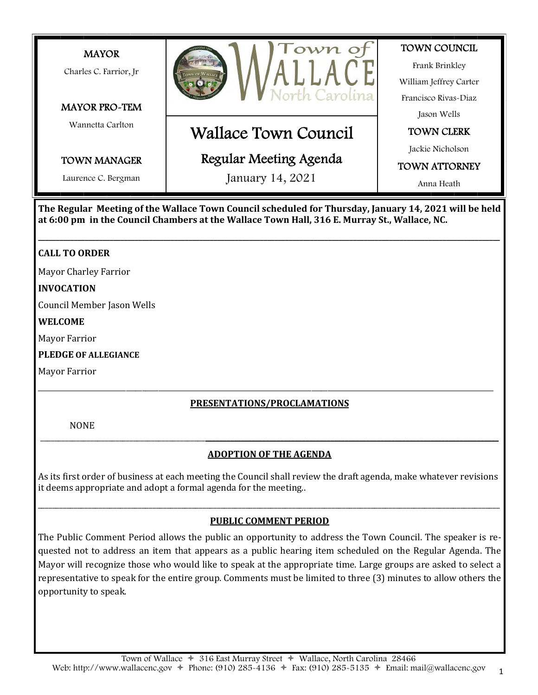

**The Regular Meeting of the Wallace Town Council scheduled for Thursday, January 14, 2021 will be held at 6:00 pm in the Council Chambers at the Wallace Town Hall, 316 E. Murray St., Wallace, NC.**

**\_\_\_\_\_\_\_\_\_\_\_\_\_\_\_\_\_\_\_\_\_\_\_\_\_\_\_\_\_\_\_\_\_\_\_\_\_\_\_\_\_\_\_\_\_\_\_\_\_\_\_\_\_\_\_\_\_\_\_\_\_\_\_\_\_\_\_\_\_\_\_\_\_\_\_\_\_\_\_\_\_\_\_\_\_\_\_\_\_\_\_\_\_\_\_\_\_\_\_\_\_\_\_\_\_\_\_\_\_\_\_\_\_\_\_\_\_\_\_\_\_\_\_\_\_\_\_\_\_**

### **CALL TO ORDER**

Mayor Charley Farrior

#### **INVOCATION**

Council Member Jason Wells

#### **WELCOME**

Mayor Farrior

**PLEDGE OF ALLEGIANCE**

Mayor Farrior

### **PRESENTATIONS/PROCLAMATIONS**

\_\_\_\_\_\_\_\_\_\_\_\_\_\_\_\_\_\_\_\_\_\_\_\_\_\_\_\_\_\_\_\_\_\_\_\_\_\_\_\_\_\_\_\_\_\_\_\_\_\_\_\_\_\_\_\_\_\_\_\_\_\_\_\_\_\_\_\_\_\_\_\_\_\_\_\_\_\_\_\_\_\_\_\_\_\_\_\_\_\_\_\_\_\_\_\_\_\_\_\_\_\_\_\_\_\_\_\_\_\_\_\_\_\_\_\_\_\_\_\_\_\_\_\_\_\_\_\_\_\_\_\_\_\_\_\_\_\_\_\_

NONE

# \_\_\_\_\_\_\_\_\_\_\_\_\_\_\_\_\_\_\_\_\_\_\_\_\_\_\_\_\_\_\_\_\_\_\_\_\_\_\_\_\_\_\_\_\_\_**\_\_\_\_\_\_\_\_\_\_\_\_\_\_\_\_\_\_\_\_\_\_\_\_\_\_\_\_\_\_\_\_\_\_\_\_\_\_\_\_\_\_\_\_\_\_\_\_\_\_\_\_\_\_\_\_\_\_\_\_\_\_\_\_\_\_\_\_\_\_\_\_\_\_\_\_\_\_\_\_\_\_ ADOPTION OF THE AGENDA**

As its irst order of business at each meeting the Council shall review the draft agenda, make whatever revisions it deems appropriate and adopt a formal agenda for the meeting..

# \_\_\_\_\_\_\_\_\_\_\_\_\_\_\_\_\_\_\_\_\_\_\_\_\_\_\_\_\_\_\_\_\_\_\_\_\_\_\_\_\_\_\_\_\_\_\_\_\_\_\_\_\_\_\_\_\_\_\_\_\_\_\_\_\_\_\_\_\_\_\_\_\_\_\_\_\_\_\_\_\_\_\_\_\_\_\_\_\_\_\_\_\_\_\_\_\_\_\_\_\_\_\_\_\_\_\_\_\_\_\_\_\_\_\_\_\_\_\_\_\_\_\_\_\_\_\_\_\_ **PUBLIC COMMENT PERIOD**

The Public Comment Period allows the public an opportunity to address the Town Council. The speaker is requested not to address an item that appears as a public hearing item scheduled on the Regular Agenda. The Mayor will recognize those who would like to speak at the appropriate time. Large groups are asked to select a representative to speak for the entire group. Comments must be limited to three (3) minutes to allow others the opportunity to speak.